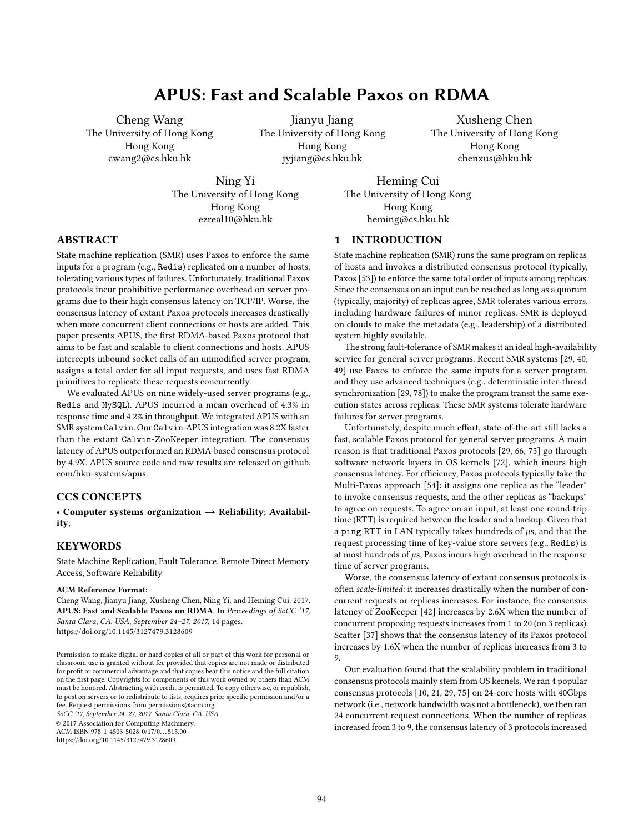# APUS: Fast and Scalable Paxos on RDMA

Cheng Wang The University of Hong Kong Hong Kong cwang2@cs.hku.hk

Jianyu Jiang The University of Hong Kong Hong Kong jyjiang@cs.hku.hk

Xusheng Chen The University of Hong Kong Hong Kong chenxus@hku.hk

Ning Yi The University of Hong Kong Hong Kong ezreal10@hku.hk

Heming Cui The University of Hong Kong Hong Kong heming@cs.hku.hk

# ABSTRACT

State machine replication (SMR) uses Paxos to enforce the same inputs for a program (e.g., Redis) replicated on a number of hosts, tolerating various types of failures. Unfortunately, traditional Paxos protocols incur prohibitive performance overhead on server programs due to their high consensus latency on TCP/IP. Worse, the consensus latency of extant Paxos protocols increases drastically when more concurrent client connections or hosts are added. This paper presents APUS, the first RDMA-based Paxos protocol that aims to be fast and scalable to client connections and hosts. APUS intercepts inbound socket calls of an unmodified server program, assigns a total order for all input requests, and uses fast RDMA primitives to replicate these requests concurrently.

We evaluated APUS on nine widely-used server programs (e.g., Redis and MySQL). APUS incurred a mean overhead of 4.3% in response time and 4.2% in throughput. We integrated APUS with an SMR system Calvin. Our Calvin-APUS integration was 8.2X faster than the extant Calvin-ZooKeeper integration. The consensus latency of APUS outperformed an RDMA-based consensus protocol by 4.9X. APUS source code and raw results are released on [github.](github.com/hku-systems/apus) [com/hku-systems/apus.](github.com/hku-systems/apus)

# CCS CONCEPTS

• Computer systems organization  $\rightarrow$  Reliability; Availability;

# **KEYWORDS**

State Machine Replication, Fault Tolerance, Remote Direct Memory Access, Software Reliability

#### ACM Reference Format:

Cheng Wang, Jianyu Jiang, Xusheng Chen, Ning Yi, and Heming Cui. 2017. APUS: Fast and Scalable Paxos on RDMA. In Proceedings of SoCC '17, Santa Clara, CA, USA, September 24–27, 2017, [14](#page-13-0) pages. <https://doi.org/10.1145/3127479.3128609>

SoCC '17, September 24–27, 2017, Santa Clara, CA, USA

© 2017 Association for Computing Machinery.

ACM ISBN 978-1-4503-5028-0/17/0. . . \$15.00

<https://doi.org/10.1145/3127479.3128609>

# 1 INTRODUCTION

State machine replication (SMR) runs the same program on replicas of hosts and invokes a distributed consensus protocol (typically, Paxos [\[53\]](#page-13-1)) to enforce the same total order of inputs among replicas. Since the consensus on an input can be reached as long as a quorum (typically, majority) of replicas agree, SMR tolerates various errors, including hardware failures of minor replicas. SMR is deployed on clouds to make the metadata (e.g., leadership) of a distributed system highly available.

The strong fault-tolerance of SMR makes it an ideal high-availability service for general server programs. Recent SMR systems [\[29,](#page-12-0) [40,](#page-12-1) [49\]](#page-12-2) use Paxos to enforce the same inputs for a server program, and they use advanced techniques (e.g., deterministic inter-thread synchronization [\[29,](#page-12-0) [78\]](#page-13-2)) to make the program transit the same execution states across replicas. These SMR systems tolerate hardware failures for server programs.

Unfortunately, despite much effort, state-of-the-art still lacks a fast, scalable Paxos protocol for general server programs. A main reason is that traditional Paxos protocols [\[29,](#page-12-0) [66,](#page-13-3) [75\]](#page-13-4) go through software network layers in OS kernels [\[72\]](#page-13-5), which incurs high consensus latency. For efficiency, Paxos protocols typically take the Multi-Paxos approach [\[54\]](#page-13-6): it assigns one replica as the "leader" to invoke consensus requests, and the other replicas as "backups" to agree on requests. To agree on an input, at least one round-trip time (RTT) is required between the leader and a backup. Given that a ping RTT in LAN typically takes hundreds of  $\mu$ s, and that the request processing time of key-value store servers (e.g., Redis) is at most hundreds of  $\mu$ s, Paxos incurs high overhead in the response time of server programs.

Worse, the consensus latency of extant consensus protocols is often scale-limited: it increases drastically when the number of concurrent requests or replicas increases. For instance, the consensus latency of ZooKeeper [\[42\]](#page-12-3) increases by 2.6X when the number of concurrent proposing requests increases from 1 to 20 (on 3 replicas). Scatter [\[37\]](#page-12-4) shows that the consensus latency of its Paxos protocol increases by 1.6X when the number of replicas increases from 3 to 9.

Our evaluation found that the scalability problem in traditional consensus protocols mainly stem from OS kernels. We ran 4 popular consensus protocols [\[10,](#page-12-5) [21,](#page-12-6) [29,](#page-12-0) [75\]](#page-13-4) on 24-core hosts with 40Gbps network (i.e., network bandwidth was not a bottleneck), we then ran 24 concurrent request connections. When the number of replicas increased from 3 to 9, the consensus latency of 3 protocols increased

Permission to make digital or hard copies of all or part of this work for personal or classroom use is granted without fee provided that copies are not made or distributed for profit or commercial advantage and that copies bear this notice and the full citation on the first page. Copyrights for components of this work owned by others than ACM must be honored. Abstracting with credit is permitted. To copy otherwise, or republish, to post on servers or to redistribute to lists, requires prior specific permission and/or a fee. Request permissions from permissions@acm.org.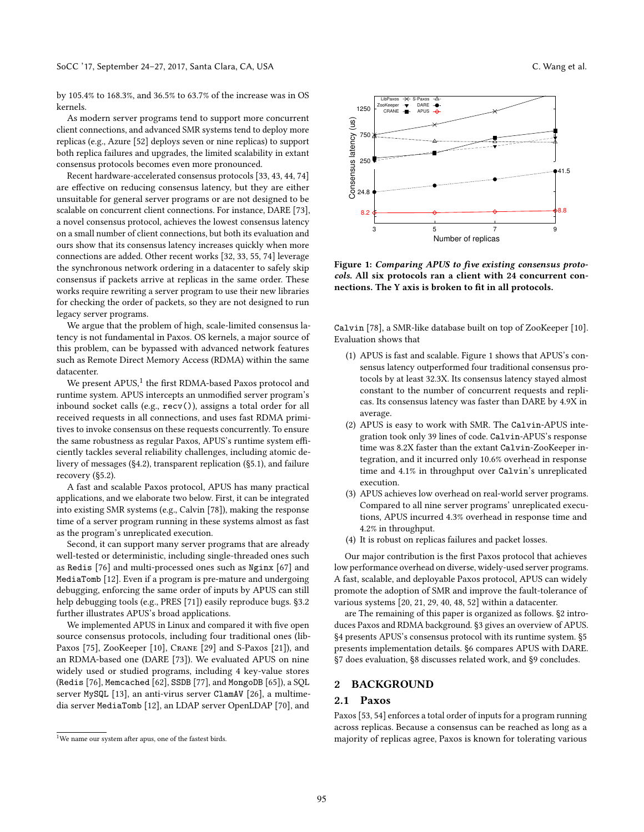by 105.4% to 168.3%, and 36.5% to 63.7% of the increase was in OS kernels.

As modern server programs tend to support more concurrent client connections, and advanced SMR systems tend to deploy more replicas (e.g., Azure [\[52\]](#page-12-7) deploys seven or nine replicas) to support both replica failures and upgrades, the limited scalability in extant consensus protocols becomes even more pronounced.

Recent hardware-accelerated consensus protocols [\[33,](#page-12-8) [43,](#page-12-9) [44,](#page-12-10) [74\]](#page-13-7) are effective on reducing consensus latency, but they are either unsuitable for general server programs or are not designed to be scalable on concurrent client connections. For instance, DARE [\[73\]](#page-13-8), a novel consensus protocol, achieves the lowest consensus latency on a small number of client connections, but both its evaluation and ours show that its consensus latency increases quickly when more connections are added. Other recent works [\[32,](#page-12-11) [33,](#page-12-8) [55,](#page-13-9) [74\]](#page-13-7) leverage the synchronous network ordering in a datacenter to safely skip consensus if packets arrive at replicas in the same order. These works require rewriting a server program to use their new libraries for checking the order of packets, so they are not designed to run legacy server programs.

We argue that the problem of high, scale-limited consensus latency is not fundamental in Paxos. OS kernels, a major source of this problem, can be bypassed with advanced network features such as Remote Direct Memory Access (RDMA) within the same datacenter.

We present  $APUS<sup>1</sup>$  $APUS<sup>1</sup>$  $APUS<sup>1</sup>$  the first RDMA-based Paxos protocol and runtime system. APUS intercepts an unmodified server program's inbound socket calls (e.g., recv()), assigns a total order for all received requests in all connections, and uses fast RDMA primitives to invoke consensus on these requests concurrently. To ensure the same robustness as regular Paxos, APUS's runtime system efficiently tackles several reliability challenges, including atomic delivery of messages ([§4.2\)](#page-4-0), transparent replication ([§5.1\)](#page-6-0), and failure recovery ([§5.2\)](#page-6-1).

A fast and scalable Paxos protocol, APUS has many practical applications, and we elaborate two below. First, it can be integrated into existing SMR systems (e.g., Calvin [\[78\]](#page-13-2)), making the response time of a server program running in these systems almost as fast as the program's unreplicated execution.

Second, it can support many server programs that are already well-tested or deterministic, including single-threaded ones such as Redis [\[76\]](#page-13-10) and multi-processed ones such as Nginx [\[67\]](#page-13-11) and MediaTomb [\[12\]](#page-12-12). Even if a program is pre-mature and undergoing debugging, enforcing the same order of inputs by APUS can still help debugging tools (e.g., PRES [\[71\]](#page-13-12)) easily reproduce bugs. [§3.2](#page-3-0) further illustrates APUS's broad applications.

We implemented APUS in Linux and compared it with five open source consensus protocols, including four traditional ones (lib-Paxos [\[75\]](#page-13-4), ZooKeeper [\[10\]](#page-12-5), CRANE [\[29\]](#page-12-0) and S-Paxos [\[21\]](#page-12-6)), and an RDMA-based one (DARE [\[73\]](#page-13-8)). We evaluated APUS on nine widely used or studied programs, including 4 key-value stores (Redis [\[76\]](#page-13-10), Memcached [\[62\]](#page-13-13), SSDB [\[77\]](#page-13-14), and MongoDB [\[65\]](#page-13-15)), a SQL server MySQL [\[13\]](#page-12-13), an anti-virus server ClamAV [\[26\]](#page-12-14), a multimedia server MediaTomb [\[12\]](#page-12-12), an LDAP server OpenLDAP [\[70\]](#page-13-16), and

<span id="page-1-1"></span>

Figure 1: Comparing APUS to five existing consensus protocols. All six protocols ran a client with 24 concurrent connections. The Y axis is broken to fit in all protocols.

Calvin [\[78\]](#page-13-2), a SMR-like database built on top of ZooKeeper [\[10\]](#page-12-5). Evaluation shows that

- (1) APUS is fast and scalable. Figure [1](#page-1-1) shows that APUS's consensus latency outperformed four traditional consensus protocols by at least 32.3X. Its consensus latency stayed almost constant to the number of concurrent requests and replicas. Its consensus latency was faster than DARE by 4.9X in average.
- (2) APUS is easy to work with SMR. The Calvin-APUS integration took only 39 lines of code. Calvin-APUS's response time was 8.2X faster than the extant Calvin-ZooKeeper integration, and it incurred only 10.6% overhead in response time and 4.1% in throughput over Calvin's unreplicated execution.
- (3) APUS achieves low overhead on real-world server programs. Compared to all nine server programs' unreplicated executions, APUS incurred 4.3% overhead in response time and 4.2% in throughput.
- (4) It is robust on replicas failures and packet losses.

Our major contribution is the first Paxos protocol that achieves low performance overhead on diverse, widely-used server programs. A fast, scalable, and deployable Paxos protocol, APUS can widely promote the adoption of SMR and improve the fault-tolerance of various systems [\[20,](#page-12-15) [21,](#page-12-6) [29,](#page-12-0) [40,](#page-12-1) [48,](#page-12-16) [52\]](#page-12-7) within a datacenter.

are The remaining of this paper is organized as follows. [§2](#page-1-2) introduces Paxos and RDMA background. [§3](#page-2-0) gives an overview of APUS. [§4](#page-3-1) presents APUS's consensus protocol with its runtime system. [§5](#page-6-2) presents implementation details. [§6](#page-6-3) compares APUS with DARE. [§7](#page-7-0) does evaluation, [§8](#page-11-0) discusses related work, and [§9](#page-11-1) concludes.

#### <span id="page-1-2"></span>2 BACKGROUND

#### 2.1 Paxos

Paxos [\[53,](#page-13-1) [54\]](#page-13-6) enforces a total order of inputs for a program running across replicas. Because a consensus can be reached as long as a majority of replicas agree, Paxos is known for tolerating various

<span id="page-1-0"></span> $^{\rm 1}{\rm We}$  name our system after apus, one of the fastest birds.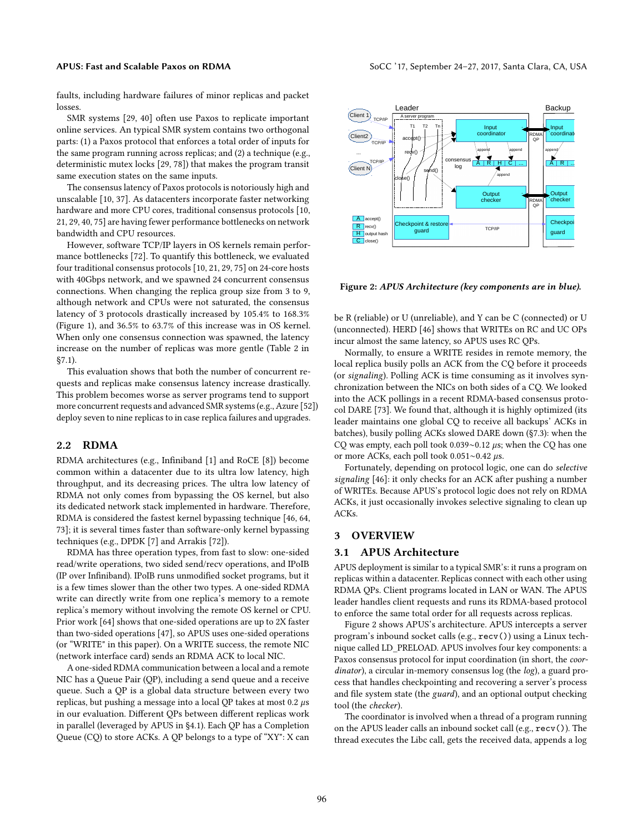faults, including hardware failures of minor replicas and packet losses.

SMR systems [\[29,](#page-12-0) [40\]](#page-12-1) often use Paxos to replicate important online services. An typical SMR system contains two orthogonal parts: (1) a Paxos protocol that enforces a total order of inputs for the same program running across replicas; and (2) a technique (e.g., deterministic mutex locks [\[29,](#page-12-0) [78\]](#page-13-2)) that makes the program transit same execution states on the same inputs.

The consensus latency of Paxos protocols is notoriously high and unscalable [\[10,](#page-12-5) [37\]](#page-12-4). As datacenters incorporate faster networking hardware and more CPU cores, traditional consensus protocols [\[10,](#page-12-5) [21,](#page-12-6) [29,](#page-12-0) [40,](#page-12-1) [75\]](#page-13-4) are having fewer performance bottlenecks on network bandwidth and CPU resources.

However, software TCP/IP layers in OS kernels remain performance bottlenecks [\[72\]](#page-13-5). To quantify this bottleneck, we evaluated four traditional consensus protocols [\[10,](#page-12-5) [21,](#page-12-6) [29,](#page-12-0) [75\]](#page-13-4) on 24-core hosts with 40Gbps network, and we spawned 24 concurrent consensus connections. When changing the replica group size from 3 to 9, although network and CPUs were not saturated, the consensus latency of 3 protocols drastically increased by 105.4% to 168.3% (Figure [1\)](#page-1-1), and 36.5% to 63.7% of this increase was in OS kernel. When only one consensus connection was spawned, the latency increase on the number of replicas was more gentle (Table [2](#page-8-0) in [§7.1\)](#page-7-1).

This evaluation shows that both the number of concurrent requests and replicas make consensus latency increase drastically. This problem becomes worse as server programs tend to support more concurrent requests and advanced SMR systems (e.g., Azure [\[52\]](#page-12-7)) deploy seven to nine replicas to in case replica failures and upgrades.

### <span id="page-2-2"></span>2.2 RDMA

RDMA architectures (e.g., Infiniband [\[1\]](#page-12-17) and RoCE [\[8\]](#page-12-18)) become common within a datacenter due to its ultra low latency, high throughput, and its decreasing prices. The ultra low latency of RDMA not only comes from bypassing the OS kernel, but also its dedicated network stack implemented in hardware. Therefore, RDMA is considered the fastest kernel bypassing technique [\[46,](#page-12-19) [64,](#page-13-17) [73\]](#page-13-8); it is several times faster than software-only kernel bypassing techniques (e.g., DPDK [\[7\]](#page-12-20) and Arrakis [\[72\]](#page-13-5)).

RDMA has three operation types, from fast to slow: one-sided read/write operations, two sided send/recv operations, and IPoIB (IP over Infiniband). IPoIB runs unmodified socket programs, but it is a few times slower than the other two types. A one-sided RDMA write can directly write from one replica's memory to a remote replica's memory without involving the remote OS kernel or CPU. Prior work [\[64\]](#page-13-17) shows that one-sided operations are up to 2X faster than two-sided operations [\[47\]](#page-12-21), so APUS uses one-sided operations (or "WRITE" in this paper). On a WRITE success, the remote NIC (network interface card) sends an RDMA ACK to local NIC.

A one-sided RDMA communication between a local and a remote NIC has a Queue Pair (QP), including a send queue and a receive queue. Such a QP is a global data structure between every two replicas, but pushing a message into a local QP takes at most  $0.2 \mu s$ in our evaluation. Different QPs between different replicas work in parallel (leveraged by APUS in [§4.1\)](#page-3-2). Each QP has a Completion Queue (CQ) to store ACKs. A QP belongs to a type of "XY": X can

<span id="page-2-1"></span>

Figure 2: APUS Architecture (key components are in blue).

be R (reliable) or U (unreliable), and Y can be C (connected) or U (unconnected). HERD [\[46\]](#page-12-19) shows that WRITEs on RC and UC OPs incur almost the same latency, so APUS uses RC QPs.

Normally, to ensure a WRITE resides in remote memory, the local replica busily polls an ACK from the CQ before it proceeds (or signaling). Polling ACK is time consuming as it involves synchronization between the NICs on both sides of a CQ. We looked into the ACK pollings in a recent RDMA-based consensus protocol DARE [\[73\]](#page-13-8). We found that, although it is highly optimized (its leader maintains one global CQ to receive all backups' ACKs in batches), busily polling ACKs slowed DARE down ([§7.3\)](#page-8-1): when the CQ was empty, each poll took 0.039∼0.12 µs; when the CQ has one or more ACKs, each poll took 0.051∼0.42 µs.

Fortunately, depending on protocol logic, one can do selective signaling [\[46\]](#page-12-19): it only checks for an ACK after pushing a number of WRITEs. Because APUS's protocol logic does not rely on RDMA ACKs, it just occasionally invokes selective signaling to clean up ACKs.

# <span id="page-2-0"></span>3 OVERVIEW

#### <span id="page-2-3"></span>3.1 APUS Architecture

APUS deployment is similar to a typical SMR's: it runs a program on replicas within a datacenter. Replicas connect with each other using RDMA QPs. Client programs located in LAN or WAN. The APUS leader handles client requests and runs its RDMA-based protocol to enforce the same total order for all requests across replicas.

Figure [2](#page-2-1) shows APUS's architecture. APUS intercepts a server program's inbound socket calls (e.g., recv()) using a Linux technique called LD\_PRELOAD. APUS involves four key components: a Paxos consensus protocol for input coordination (in short, the coordinator), a circular in-memory consensus log (the log), a guard process that handles checkpointing and recovering a server's process and file system state (the guard), and an optional output checking tool (the checker).

The coordinator is involved when a thread of a program running on the APUS leader calls an inbound socket call (e.g., recv()). The thread executes the Libc call, gets the received data, appends a log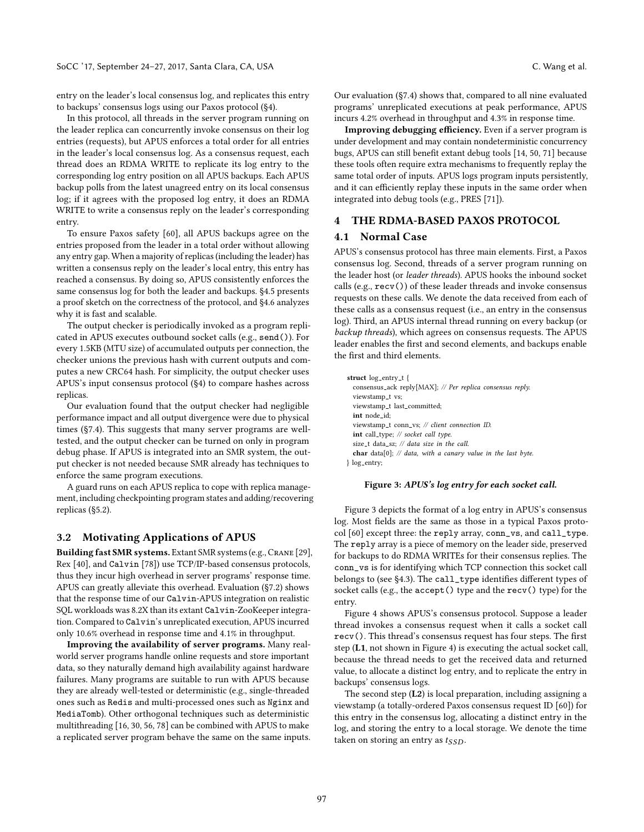entry on the leader's local consensus log, and replicates this entry to backups' consensus logs using our Paxos protocol ([§4\)](#page-3-1).

In this protocol, all threads in the server program running on the leader replica can concurrently invoke consensus on their log entries (requests), but APUS enforces a total order for all entries in the leader's local consensus log. As a consensus request, each thread does an RDMA WRITE to replicate its log entry to the corresponding log entry position on all APUS backups. Each APUS backup polls from the latest unagreed entry on its local consensus log; if it agrees with the proposed log entry, it does an RDMA WRITE to write a consensus reply on the leader's corresponding entry.

To ensure Paxos safety [\[60\]](#page-13-18), all APUS backups agree on the entries proposed from the leader in a total order without allowing any entry gap. When a majority of replicas (including the leader) has written a consensus reply on the leader's local entry, this entry has reached a consensus. By doing so, APUS consistently enforces the same consensus log for both the leader and backups. [§4.5](#page-5-0) presents a proof sketch on the correctness of the protocol, and [§4.6](#page-5-1) analyzes why it is fast and scalable.

The output checker is periodically invoked as a program replicated in APUS executes outbound socket calls (e.g., send()). For every 1.5KB (MTU size) of accumulated outputs per connection, the checker unions the previous hash with current outputs and computes a new CRC64 hash. For simplicity, the output checker uses APUS's input consensus protocol ([§4\)](#page-3-1) to compare hashes across replicas.

Our evaluation found that the output checker had negligible performance impact and all output divergence were due to physical times ([§7.4\)](#page-9-0). This suggests that many server programs are welltested, and the output checker can be turned on only in program debug phase. If APUS is integrated into an SMR system, the output checker is not needed because SMR already has techniques to enforce the same program executions.

A guard runs on each APUS replica to cope with replica management, including checkpointing program states and adding/recovering replicas ([§5.2\)](#page-6-1).

# <span id="page-3-0"></span>3.2 Motivating Applications of APUS

Building fast SMR systems. Extant SMR systems (e.g., Crane [\[29\]](#page-12-0), Rex [\[40\]](#page-12-1), and Calvin [\[78\]](#page-13-2)) use TCP/IP-based consensus protocols, thus they incur high overhead in server programs' response time. APUS can greatly alleviate this overhead. Evaluation ([§7.2\)](#page-8-2) shows that the response time of our Calvin-APUS integration on realistic SQL workloads was 8.2X than its extant Calvin-ZooKeeper integration. Compared to Calvin's unreplicated execution, APUS incurred only 10.6% overhead in response time and 4.1% in throughput.

Improving the availability of server programs. Many realworld server programs handle online requests and store important data, so they naturally demand high availability against hardware failures. Many programs are suitable to run with APUS because they are already well-tested or deterministic (e.g., single-threaded ones such as Redis and multi-processed ones such as Nginx and MediaTomb). Other orthogonal techniques such as deterministic multithreading [\[16,](#page-12-22) [30,](#page-12-23) [56,](#page-13-19) [78\]](#page-13-2) can be combined with APUS to make a replicated server program behave the same on the same inputs. Our evaluation ([§7.4\)](#page-9-0) shows that, compared to all nine evaluated programs' unreplicated executions at peak performance, APUS incurs 4.2% overhead in throughput and 4.3% in response time.

Improving debugging efficiency. Even if a server program is under development and may contain nondeterministic concurrency bugs, APUS can still benefit extant debug tools [\[14,](#page-12-24) [50,](#page-12-25) [71\]](#page-13-12) because these tools often require extra mechanisms to frequently replay the same total order of inputs. APUS logs program inputs persistently, and it can efficiently replay these inputs in the same order when integrated into debug tools (e.g., PRES [\[71\]](#page-13-12)).

# <span id="page-3-1"></span>4 THE RDMA-BASED PAXOS PROTOCOL

# <span id="page-3-2"></span>4.1 Normal Case

APUS's consensus protocol has three main elements. First, a Paxos consensus log. Second, threads of a server program running on the leader host (or leader threads). APUS hooks the inbound socket calls (e.g., recv()) of these leader threads and invoke consensus requests on these calls. We denote the data received from each of these calls as a consensus request (i.e., an entry in the consensus log). Third, an APUS internal thread running on every backup (or backup threads), which agrees on consensus requests. The APUS leader enables the first and second elements, and backups enable the first and third elements.

<span id="page-3-3"></span>struct log\_entry\_t { consensus ack reply[MAX]; // Per replica consensus reply. viewstamp\_t vs; viewstamp\_t last\_committed; int node\_id: viewstamp\_t\_conn\_vs; // client\_connection ID. int call\_type; // socket call type. size\_t data\_sz:  $\frac{1}{4}$  data size in the call. char data[0];  $\#$  data, with a canary value in the last byte. } log entry;

#### Figure 3: APUS's log entry for each socket call.

Figure [3](#page-3-3) depicts the format of a log entry in APUS's consensus log. Most fields are the same as those in a typical Paxos protocol [\[60\]](#page-13-18) except three: the reply array, conn\_vs, and call\_type. The reply array is a piece of memory on the leader side, preserved for backups to do RDMA WRITEs for their consensus replies. The conn\_vs is for identifying which TCP connection this socket call belongs to (see [§4.3\)](#page-4-1). The call\_type identifies different types of socket calls (e.g., the accept() type and the recv() type) for the entry.

Figure [4](#page-4-2) shows APUS's consensus protocol. Suppose a leader thread invokes a consensus request when it calls a socket call recv(). This thread's consensus request has four steps. The first step (L1, not shown in Figure [4\)](#page-4-2) is executing the actual socket call, because the thread needs to get the received data and returned value, to allocate a distinct log entry, and to replicate the entry in backups' consensus logs.

The second step (L2) is local preparation, including assigning a viewstamp (a totally-ordered Paxos consensus request ID [\[60\]](#page-13-18)) for this entry in the consensus log, allocating a distinct entry in the log, and storing the entry to a local storage. We denote the time taken on storing an entry as  $t_{SSD}$ .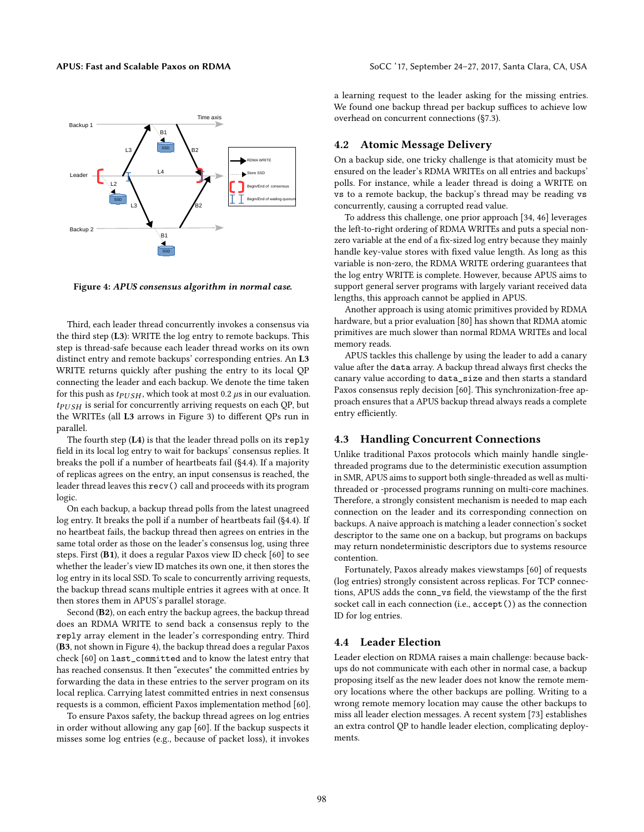<span id="page-4-2"></span>

Figure 4: APUS consensus algorithm in normal case.

Third, each leader thread concurrently invokes a consensus via the third step (L3): WRITE the log entry to remote backups. This step is thread-safe because each leader thread works on its own distinct entry and remote backups' corresponding entries. An L3 WRITE returns quickly after pushing the entry to its local QP connecting the leader and each backup. We denote the time taken for this push as  $tp_{USH}$ , which took at most 0.2  $\mu$ s in our evaluation.  $t_{PUSH}$  is serial for concurrently arriving requests on each QP, but the WRITEs (all L3 arrows in Figure [3\)](#page-3-3) to different QPs run in parallel.

The fourth step (L4) is that the leader thread polls on its reply field in its local log entry to wait for backups' consensus replies. It breaks the poll if a number of heartbeats fail ([§4.4\)](#page-4-3). If a majority of replicas agrees on the entry, an input consensus is reached, the leader thread leaves this recv() call and proceeds with its program logic.

On each backup, a backup thread polls from the latest unagreed log entry. It breaks the poll if a number of heartbeats fail ([§4.4\)](#page-4-3). If no heartbeat fails, the backup thread then agrees on entries in the same total order as those on the leader's consensus log, using three steps. First (B1), it does a regular Paxos view ID check [\[60\]](#page-13-18) to see whether the leader's view ID matches its own one, it then stores the log entry in its local SSD. To scale to concurrently arriving requests, the backup thread scans multiple entries it agrees with at once. It then stores them in APUS's parallel storage.

Second (B2), on each entry the backup agrees, the backup thread does an RDMA WRITE to send back a consensus reply to the reply array element in the leader's corresponding entry. Third (B3, not shown in Figure [4\)](#page-4-2), the backup thread does a regular Paxos check [\[60\]](#page-13-18) on last\_committed and to know the latest entry that has reached consensus. It then "executes" the committed entries by forwarding the data in these entries to the server program on its local replica. Carrying latest committed entries in next consensus requests is a common, efficient Paxos implementation method [\[60\]](#page-13-18).

To ensure Paxos safety, the backup thread agrees on log entries in order without allowing any gap [\[60\]](#page-13-18). If the backup suspects it misses some log entries (e.g., because of packet loss), it invokes

a learning request to the leader asking for the missing entries. We found one backup thread per backup suffices to achieve low overhead on concurrent connections ([§7.3\)](#page-8-1).

# <span id="page-4-0"></span>4.2 Atomic Message Delivery

On a backup side, one tricky challenge is that atomicity must be ensured on the leader's RDMA WRITEs on all entries and backups' polls. For instance, while a leader thread is doing a WRITE on vs to a remote backup, the backup's thread may be reading vs concurrently, causing a corrupted read value.

To address this challenge, one prior approach [\[34,](#page-12-26) [46\]](#page-12-19) leverages the left-to-right ordering of RDMA WRITEs and puts a special nonzero variable at the end of a fix-sized log entry because they mainly handle key-value stores with fixed value length. As long as this variable is non-zero, the RDMA WRITE ordering guarantees that the log entry WRITE is complete. However, because APUS aims to support general server programs with largely variant received data lengths, this approach cannot be applied in APUS.

Another approach is using atomic primitives provided by RDMA hardware, but a prior evaluation [\[80\]](#page-13-20) has shown that RDMA atomic primitives are much slower than normal RDMA WRITEs and local memory reads.

APUS tackles this challenge by using the leader to add a canary value after the data array. A backup thread always first checks the canary value according to data\_size and then starts a standard Paxos consensus reply decision [\[60\]](#page-13-18). This synchronization-free approach ensures that a APUS backup thread always reads a complete entry efficiently.

# <span id="page-4-1"></span>4.3 Handling Concurrent Connections

Unlike traditional Paxos protocols which mainly handle singlethreaded programs due to the deterministic execution assumption in SMR, APUS aims to support both single-threaded as well as multithreaded or -processed programs running on multi-core machines. Therefore, a strongly consistent mechanism is needed to map each connection on the leader and its corresponding connection on backups. A naive approach is matching a leader connection's socket descriptor to the same one on a backup, but programs on backups may return nondeterministic descriptors due to systems resource contention.

Fortunately, Paxos already makes viewstamps [\[60\]](#page-13-18) of requests (log entries) strongly consistent across replicas. For TCP connections, APUS adds the conn\_vs field, the viewstamp of the the first socket call in each connection (i.e., accept()) as the connection ID for log entries.

# <span id="page-4-3"></span>4.4 Leader Election

Leader election on RDMA raises a main challenge: because backups do not communicate with each other in normal case, a backup proposing itself as the new leader does not know the remote memory locations where the other backups are polling. Writing to a wrong remote memory location may cause the other backups to miss all leader election messages. A recent system [\[73\]](#page-13-8) establishes an extra control QP to handle leader election, complicating deployments.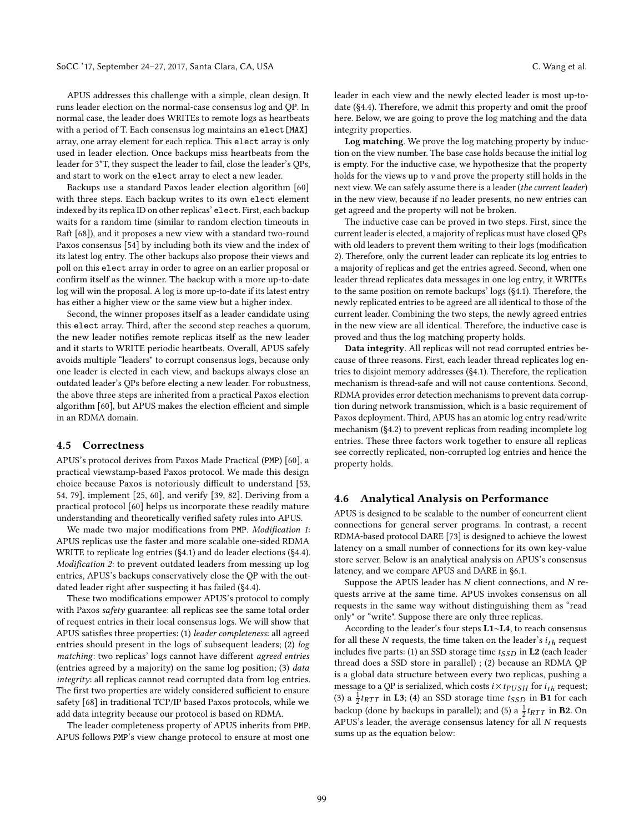APUS addresses this challenge with a simple, clean design. It runs leader election on the normal-case consensus log and QP. In normal case, the leader does WRITEs to remote logs as heartbeats with a period of T. Each consensus log maintains an elect[MAX] array, one array element for each replica. This elect array is only used in leader election. Once backups miss heartbeats from the leader for 3\*T, they suspect the leader to fail, close the leader's QPs, and start to work on the elect array to elect a new leader.

Backups use a standard Paxos leader election algorithm [\[60\]](#page-13-18) with three steps. Each backup writes to its own elect element indexed by its replica ID on other replicas' elect. First, each backup waits for a random time (similar to random election timeouts in Raft [\[68\]](#page-13-21)), and it proposes a new view with a standard two-round Paxos consensus [\[54\]](#page-13-6) by including both its view and the index of its latest log entry. The other backups also propose their views and poll on this elect array in order to agree on an earlier proposal or confirm itself as the winner. The backup with a more up-to-date log will win the proposal. A log is more up-to-date if its latest entry has either a higher view or the same view but a higher index.

Second, the winner proposes itself as a leader candidate using this elect array. Third, after the second step reaches a quorum, the new leader notifies remote replicas itself as the new leader and it starts to WRITE periodic heartbeats. Overall, APUS safely avoids multiple "leaders" to corrupt consensus logs, because only one leader is elected in each view, and backups always close an outdated leader's QPs before electing a new leader. For robustness, the above three steps are inherited from a practical Paxos election algorithm [\[60\]](#page-13-18), but APUS makes the election efficient and simple in an RDMA domain.

#### <span id="page-5-0"></span>4.5 Correctness

APUS's protocol derives from Paxos Made Practical (PMP) [\[60\]](#page-13-18), a practical viewstamp-based Paxos protocol. We made this design choice because Paxos is notoriously difficult to understand [\[53,](#page-13-1) [54,](#page-13-6) [79\]](#page-13-22), implement [\[25,](#page-12-27) [60\]](#page-13-18), and verify [\[39,](#page-12-28) [82\]](#page-13-23). Deriving from a practical protocol [\[60\]](#page-13-18) helps us incorporate these readily mature understanding and theoretically verified safety rules into APUS.

We made two major modifications from PMP. Modification 1: APUS replicas use the faster and more scalable one-sided RDMA WRITE to replicate log entries ([§4.1\)](#page-3-2) and do leader elections ([§4.4\)](#page-4-3). Modification 2: to prevent outdated leaders from messing up log entries, APUS's backups conservatively close the QP with the outdated leader right after suspecting it has failed ([§4.4\)](#page-4-3).

These two modifications empower APUS's protocol to comply with Paxos safety guarantee: all replicas see the same total order of request entries in their local consensus logs. We will show that APUS satisfies three properties: (1) leader completeness: all agreed entries should present in the logs of subsequent leaders; (2) log matching: two replicas' logs cannot have different agreed entries (entries agreed by a majority) on the same log position; (3) data integrity: all replicas cannot read corrupted data from log entries. The first two properties are widely considered sufficient to ensure safety [\[68\]](#page-13-21) in traditional TCP/IP based Paxos protocols, while we add data integrity because our protocol is based on RDMA.

The leader completeness property of APUS inherits from PMP. APUS follows PMP's view change protocol to ensure at most one leader in each view and the newly elected leader is most up-todate ([§4.4\)](#page-4-3). Therefore, we admit this property and omit the proof here. Below, we are going to prove the log matching and the data integrity properties.

Log matching. We prove the log matching property by induction on the view number. The base case holds because the initial log is empty. For the inductive case, we hypothesize that the property holds for the views up to  $v$  and prove the property still holds in the next view. We can safely assume there is a leader (the current leader) in the new view, because if no leader presents, no new entries can get agreed and the property will not be broken.

The inductive case can be proved in two steps. First, since the current leader is elected, a majority of replicas must have closed QPs with old leaders to prevent them writing to their logs (modification 2). Therefore, only the current leader can replicate its log entries to a majority of replicas and get the entries agreed. Second, when one leader thread replicates data messages in one log entry, it WRITEs to the same position on remote backups' logs ([§4.1\)](#page-3-2). Therefore, the newly replicated entries to be agreed are all identical to those of the current leader. Combining the two steps, the newly agreed entries in the new view are all identical. Therefore, the inductive case is proved and thus the log matching property holds.

Data integrity. All replicas will not read corrupted entries because of three reasons. First, each leader thread replicates log entries to disjoint memory addresses ([§4.1\)](#page-3-2). Therefore, the replication mechanism is thread-safe and will not cause contentions. Second, RDMA provides error detection mechanisms to prevent data corruption during network transmission, which is a basic requirement of Paxos deployment. Third, APUS has an atomic log entry read/write mechanism ([§4.2\)](#page-4-0) to prevent replicas from reading incomplete log entries. These three factors work together to ensure all replicas see correctly replicated, non-corrupted log entries and hence the property holds.

### <span id="page-5-1"></span>4.6 Analytical Analysis on Performance

APUS is designed to be scalable to the number of concurrent client connections for general server programs. In contrast, a recent RDMA-based protocol DARE [\[73\]](#page-13-8) is designed to achieve the lowest latency on a small number of connections for its own key-value store server. Below is an analytical analysis on APUS's consensus latency, and we compare APUS and DARE in [§6.1.](#page-6-4)

Suppose the APUS leader has  $N$  client connections, and  $N$  requests arrive at the same time. APUS invokes consensus on all requests in the same way without distinguishing them as "read only" or "write". Suppose there are only three replicas.

According to the leader's four steps L1∼L4, to reach consensus for all these  $N$  requests, the time taken on the leader's  $i_{th}$  request includes five parts: (1) an SSD storage time  $t_{SSD}$  in L2 (each leader thread does a SSD store in parallel) ; (2) because an RDMA QP is a global data structure between every two replicas, pushing a message to a QP is serialized, which costs  $i \times t_{PUSH}$  for  $i_{th}$  request; (3) a  $\frac{1}{2}$ *t<sub>RTT</sub>* in **L3**; (4) an SSD storage time *t<sub>SSD</sub>* in **B1** for each backup (done by backups in parallel); and (5) a  $\frac{1}{2} t_{RTT}$  in **B2**. On APUS's leader, the average consensus latency for all N requests sums up as the equation below: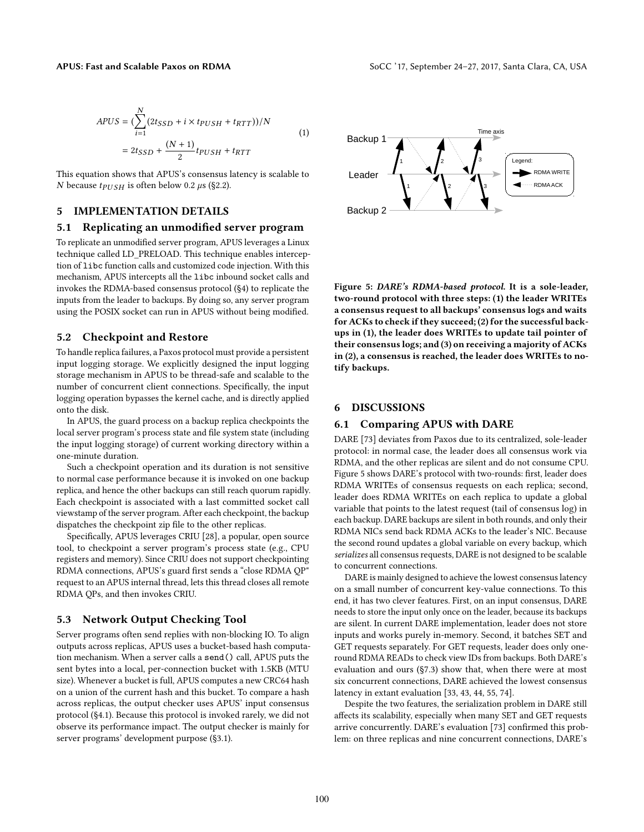$$
APUS = \left(\sum_{i=1}^{N} (2t_{SSD} + i \times t_{PUSH} + t_{RTT})\right) / N
$$
  
=  $2t_{SSD} + \frac{(N+1)}{2}t_{PUSH} + t_{RTT}$  (1)

This equation shows that APUS's consensus latency is scalable to N because  $tp_{USH}$  is often below 0.2  $\mu$ s ([§2.2\)](#page-2-2).

# <span id="page-6-2"></span>5 IMPLEMENTATION DETAILS

#### <span id="page-6-0"></span>5.1 Replicating an unmodified server program

To replicate an unmodified server program, APUS leverages a Linux technique called LD\_PRELOAD. This technique enables interception of libc function calls and customized code injection. With this mechanism, APUS intercepts all the libc inbound socket calls and invokes the RDMA-based consensus protocol ([§4\)](#page-3-1) to replicate the inputs from the leader to backups. By doing so, any server program using the POSIX socket can run in APUS without being modified.

#### <span id="page-6-1"></span>5.2 Checkpoint and Restore

To handle replica failures, a Paxos protocol must provide a persistent input logging storage. We explicitly designed the input logging storage mechanism in APUS to be thread-safe and scalable to the number of concurrent client connections. Specifically, the input logging operation bypasses the kernel cache, and is directly applied onto the disk.

In APUS, the guard process on a backup replica checkpoints the local server program's process state and file system state (including the input logging storage) of current working directory within a one-minute duration.

Such a checkpoint operation and its duration is not sensitive to normal case performance because it is invoked on one backup replica, and hence the other backups can still reach quorum rapidly. Each checkpoint is associated with a last committed socket call viewstamp of the server program. After each checkpoint, the backup dispatches the checkpoint zip file to the other replicas.

Specifically, APUS leverages CRIU [\[28\]](#page-12-29), a popular, open source tool, to checkpoint a server program's process state (e.g., CPU registers and memory). Since CRIU does not support checkpointing RDMA connections, APUS's guard first sends a "close RDMA QP" request to an APUS internal thread, lets this thread closes all remote RDMA QPs, and then invokes CRIU.

#### <span id="page-6-6"></span>5.3 Network Output Checking Tool

Server programs often send replies with non-blocking IO. To align outputs across replicas, APUS uses a bucket-based hash computation mechanism. When a server calls a send() call, APUS puts the sent bytes into a local, per-connection bucket with 1.5KB (MTU size). Whenever a bucket is full, APUS computes a new CRC64 hash on a union of the current hash and this bucket. To compare a hash across replicas, the output checker uses APUS' input consensus protocol ([§4.1\)](#page-3-2). Because this protocol is invoked rarely, we did not observe its performance impact. The output checker is mainly for server programs' development purpose ([§3.1\)](#page-2-3).

<span id="page-6-5"></span>

Figure 5: DARE's RDMA-based protocol. It is a sole-leader, two-round protocol with three steps: (1) the leader WRITEs a consensus request to all backups' consensus logs and waits for ACKs to check if they succeed; (2) for the successful backups in (1), the leader does WRITEs to update tail pointer of their consensus logs; and (3) on receiving a majority of ACKs in (2), a consensus is reached, the leader does WRITEs to notify backups.

#### <span id="page-6-3"></span>6 DISCUSSIONS

# <span id="page-6-4"></span>6.1 Comparing APUS with DARE

DARE [\[73\]](#page-13-8) deviates from Paxos due to its centralized, sole-leader protocol: in normal case, the leader does all consensus work via RDMA, and the other replicas are silent and do not consume CPU. Figure [5](#page-6-5) shows DARE's protocol with two-rounds: first, leader does RDMA WRITEs of consensus requests on each replica; second, leader does RDMA WRITEs on each replica to update a global variable that points to the latest request (tail of consensus log) in each backup. DARE backups are silent in both rounds, and only their RDMA NICs send back RDMA ACKs to the leader's NIC. Because the second round updates a global variable on every backup, which serializes all consensus requests, DARE is not designed to be scalable to concurrent connections.

DARE is mainly designed to achieve the lowest consensus latency on a small number of concurrent key-value connections. To this end, it has two clever features. First, on an input consensus, DARE needs to store the input only once on the leader, because its backups are silent. In current DARE implementation, leader does not store inputs and works purely in-memory. Second, it batches SET and GET requests separately. For GET requests, leader does only oneround RDMA READs to check view IDs from backups. Both DARE's evaluation and ours ([§7.3\)](#page-8-1) show that, when there were at most six concurrent connections, DARE achieved the lowest consensus latency in extant evaluation [\[33,](#page-12-8) [43,](#page-12-9) [44,](#page-12-10) [55,](#page-13-9) [74\]](#page-13-7).

Despite the two features, the serialization problem in DARE still affects its scalability, especially when many SET and GET requests arrive concurrently. DARE's evaluation [\[73\]](#page-13-8) confirmed this problem: on three replicas and nine concurrent connections, DARE's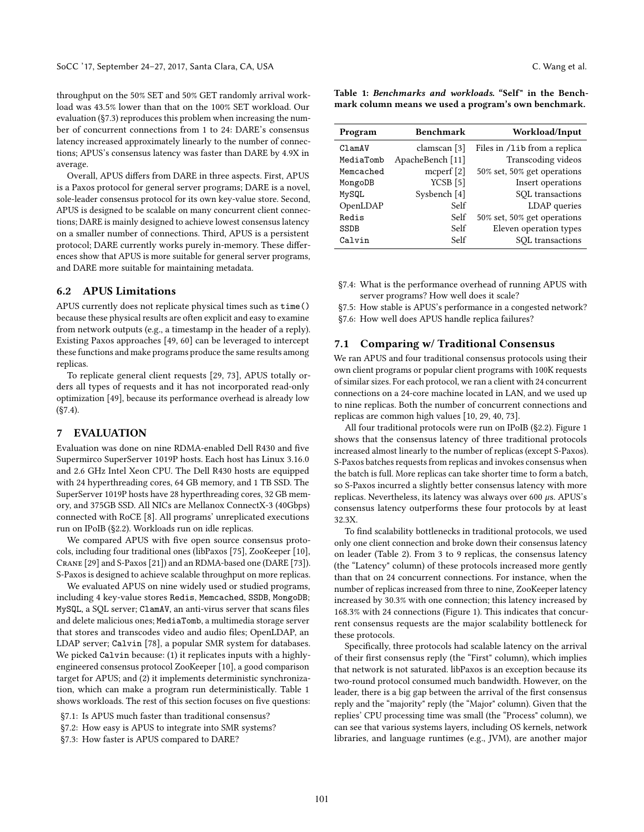throughput on the 50% SET and 50% GET randomly arrival workload was 43.5% lower than that on the 100% SET workload. Our evaluation ([§7.3\)](#page-8-1) reproduces this problem when increasing the number of concurrent connections from 1 to 24: DARE's consensus latency increased approximately linearly to the number of connections; APUS's consensus latency was faster than DARE by 4.9X in average.

Overall, APUS differs from DARE in three aspects. First, APUS is a Paxos protocol for general server programs; DARE is a novel, sole-leader consensus protocol for its own key-value store. Second, APUS is designed to be scalable on many concurrent client connections; DARE is mainly designed to achieve lowest consensus latency on a smaller number of connections. Third, APUS is a persistent protocol; DARE currently works purely in-memory. These differences show that APUS is more suitable for general server programs, and DARE more suitable for maintaining metadata.

# 6.2 APUS Limitations

APUS currently does not replicate physical times such as time() because these physical results are often explicit and easy to examine from network outputs (e.g., a timestamp in the header of a reply). Existing Paxos approaches [\[49,](#page-12-2) [60\]](#page-13-18) can be leveraged to intercept these functions and make programs produce the same results among replicas.

To replicate general client requests [\[29,](#page-12-0) [73\]](#page-13-8), APUS totally orders all types of requests and it has not incorporated read-only optimization [\[49\]](#page-12-2), because its performance overhead is already low ([§7.4\)](#page-9-0).

# <span id="page-7-0"></span>7 EVALUATION

Evaluation was done on nine RDMA-enabled Dell R430 and five Supermirco SuperServer 1019P hosts. Each host has Linux 3.16.0 and 2.6 GHz Intel Xeon CPU. The Dell R430 hosts are equipped with 24 hyperthreading cores, 64 GB memory, and 1 TB SSD. The SuperServer 1019P hosts have 28 hyperthreading cores, 32 GB memory, and 375GB SSD. All NICs are Mellanox ConnectX-3 (40Gbps) connected with RoCE [\[8\]](#page-12-18). All programs' unreplicated executions run on IPoIB ([§2.2\)](#page-2-2). Workloads run on idle replicas.

We compared APUS with five open source consensus protocols, including four traditional ones (libPaxos [\[75\]](#page-13-4), ZooKeeper [\[10\]](#page-12-5), Crane [\[29\]](#page-12-0) and S-Paxos [\[21\]](#page-12-6)) and an RDMA-based one (DARE [\[73\]](#page-13-8)). S-Paxos is designed to achieve scalable throughput on more replicas.

We evaluated APUS on nine widely used or studied programs, including 4 key-value stores Redis, Memcached, SSDB, MongoDB; MySQL, a SQL server; ClamAV, an anti-virus server that scans files and delete malicious ones; MediaTomb, a multimedia storage server that stores and transcodes video and audio files; OpenLDAP, an LDAP server; Calvin [\[78\]](#page-13-2), a popular SMR system for databases. We picked Calvin because: (1) it replicates inputs with a highlyengineered consensus protocol ZooKeeper [\[10\]](#page-12-5), a good comparison target for APUS; and (2) it implements deterministic synchronization, which can make a program run deterministically. Table [1](#page-7-2) shows workloads. The rest of this section focuses on five questions:

[§7.1:](#page-7-1) Is APUS much faster than traditional consensus?

[§7.2:](#page-8-2) How easy is APUS to integrate into SMR systems?

[§7.3:](#page-8-1) How faster is APUS compared to DARE?

<span id="page-7-2"></span>Table 1: Benchmarks and workloads. "Self" in the Benchmark column means we used a program's own benchmark.

| Program     | <b>Benchmark</b> | Workload/Input               |
|-------------|------------------|------------------------------|
| C1amAV      | clamscan [3]     | Files in /1ib from a replica |
| MediaTomb   | ApacheBench [11] | Transcoding videos           |
| Memcached   | mcperf $[2]$     | 50% set, 50% get operations  |
| MongoDB     | $YCSB$ [5]       | Insert operations            |
| MySQL       | Sysbench [4]     | SQL transactions             |
| OpenLDAP    | Self             | LDAP queries                 |
| Redis       | Self             | 50% set, 50% get operations  |
| <b>SSDB</b> | Self             | Eleven operation types       |
| Calvin      | Self             | SQL transactions             |

[§7.4:](#page-9-0) What is the performance overhead of running APUS with server programs? How well does it scale?

[§7.5:](#page-10-0) How stable is APUS's performance in a congested network?

[§7.6:](#page-10-1) How well does APUS handle replica failures?

# <span id="page-7-1"></span>7.1 Comparing w/ Traditional Consensus

We ran APUS and four traditional consensus protocols using their own client programs or popular client programs with 100K requests of similar sizes. For each protocol, we ran a client with 24 concurrent connections on a 24-core machine located in LAN, and we used up to nine replicas. Both the number of concurrent connections and replicas are common high values [\[10,](#page-12-5) [29,](#page-12-0) [40,](#page-12-1) [73\]](#page-13-8).

All four traditional protocols were run on IPoIB ([§2.2\)](#page-2-2). Figure [1](#page-1-1) shows that the consensus latency of three traditional protocols increased almost linearly to the number of replicas (except S-Paxos). S-Paxos batches requests from replicas and invokes consensus when the batch is full. More replicas can take shorter time to form a batch, so S-Paxos incurred a slightly better consensus latency with more replicas. Nevertheless, its latency was always over 600  $\mu$ s. APUS's consensus latency outperforms these four protocols by at least 32.3X.

To find scalability bottlenecks in traditional protocols, we used only one client connection and broke down their consensus latency on leader (Table [2\)](#page-8-0). From 3 to 9 replicas, the consensus latency (the "Latency" column) of these protocols increased more gently than that on 24 concurrent connections. For instance, when the number of replicas increased from three to nine, ZooKeeper latency increased by 30.3% with one connection; this latency increased by 168.3% with 24 connections (Figure [1\)](#page-1-1). This indicates that concurrent consensus requests are the major scalability bottleneck for these protocols.

Specifically, three protocols had scalable latency on the arrival of their first consensus reply (the "First" column), which implies that network is not saturated. libPaxos is an exception because its two-round protocol consumed much bandwidth. However, on the leader, there is a big gap between the arrival of the first consensus reply and the "majority" reply (the "Major" column). Given that the replies' CPU processing time was small (the "Process" column), we can see that various systems layers, including OS kernels, network libraries, and language runtimes (e.g., JVM), are another major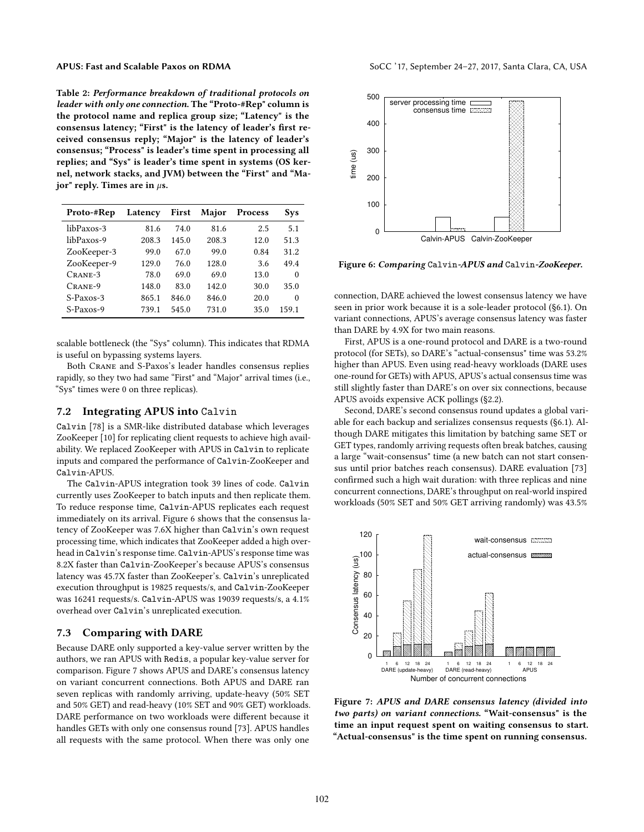<span id="page-8-0"></span>Table 2: Performance breakdown of traditional protocols on leader with only one connection. The "Proto-#Rep" column is the protocol name and replica group size; "Latency" is the consensus latency; "First" is the latency of leader's first received consensus reply; "Major" is the latency of leader's consensus; "Process" is leader's time spent in processing all replies; and "Sys" is leader's time spent in systems (OS kernel, network stacks, and JVM) between the "First" and "Major" reply. Times are in  $\mu$ s.

| Proto-#Rep  | Latency | First | Major | Process | Sys   |
|-------------|---------|-------|-------|---------|-------|
| libPaxos-3  | 81.6    | 74.0  | 81.6  | 2.5     | 5.1   |
| libPaxos-9  | 208.3   | 145.0 | 208.3 | 12.0    | 51.3  |
| ZooKeeper-3 | 99.0    | 67.0  | 99.0  | 0.84    | 31.2  |
| ZooKeeper-9 | 129.0   | 76.0  | 128.0 | 3.6     | 49.4  |
| $CRANE-3$   | 78.0    | 69.0  | 69.0  | 13.0    | 0     |
| CRANE-9     | 148.0   | 83.0  | 142.0 | 30.0    | 35.0  |
| S-Paxos-3   | 865.1   | 846.0 | 846.0 | 20.0    | 0     |
| S-Paxos-9   | 739.1   | 545.0 | 731.0 | 35.0    | 159.1 |

scalable bottleneck (the "Sys" column). This indicates that RDMA is useful on bypassing systems layers.

Both Crane and S-Paxos's leader handles consensus replies rapidly, so they two had same "First" and "Major" arrival times (i.e., "Sys" times were 0 on three replicas).

# <span id="page-8-2"></span>7.2 Integrating APUS into Calvin

Calvin [\[78\]](#page-13-2) is a SMR-like distributed database which leverages ZooKeeper [\[10\]](#page-12-5) for replicating client requests to achieve high availability. We replaced ZooKeeper with APUS in Calvin to replicate inputs and compared the performance of Calvin-ZooKeeper and Calvin-APUS.

The Calvin-APUS integration took 39 lines of code. Calvin currently uses ZooKeeper to batch inputs and then replicate them. To reduce response time, Calvin-APUS replicates each request immediately on its arrival. Figure [6](#page-8-3) shows that the consensus latency of ZooKeeper was 7.6X higher than Calvin's own request processing time, which indicates that ZooKeeper added a high overhead in Calvin's response time. Calvin-APUS's response time was 8.2X faster than Calvin-ZooKeeper's because APUS's consensus latency was 45.7X faster than ZooKeeper's. Calvin's unreplicated execution throughput is 19825 requests/s, and Calvin-ZooKeeper was 16241 requests/s. Calvin-APUS was 19039 requests/s, a 4.1% overhead over Calvin's unreplicated execution.

# <span id="page-8-1"></span>7.3 Comparing with DARE

Because DARE only supported a key-value server written by the authors, we ran APUS with Redis, a popular key-value server for comparison. Figure [7](#page-8-4) shows APUS and DARE's consensus latency on variant concurrent connections. Both APUS and DARE ran seven replicas with randomly arriving, update-heavy (50% SET and 50% GET) and read-heavy (10% SET and 90% GET) workloads. DARE performance on two workloads were different because it handles GETs with only one consensus round [\[73\]](#page-13-8). APUS handles all requests with the same protocol. When there was only one

<span id="page-8-3"></span>

Figure 6: Comparing Calvin-APUS and Calvin-ZooKeeper.

connection, DARE achieved the lowest consensus latency we have seen in prior work because it is a sole-leader protocol ([§6.1\)](#page-6-4). On variant connections, APUS's average consensus latency was faster than DARE by 4.9X for two main reasons.

First, APUS is a one-round protocol and DARE is a two-round protocol (for SETs), so DARE's "actual-consensus" time was 53.2% higher than APUS. Even using read-heavy workloads (DARE uses one-round for GETs) with APUS, APUS's actual consensus time was still slightly faster than DARE's on over six connections, because APUS avoids expensive ACK pollings ([§2.2\)](#page-2-2).

Second, DARE's second consensus round updates a global variable for each backup and serializes consensus requests ([§6.1\)](#page-6-4). Although DARE mitigates this limitation by batching same SET or GET types, randomly arriving requests often break batches, causing a large "wait-consensus" time (a new batch can not start consensus until prior batches reach consensus). DARE evaluation [\[73\]](#page-13-8) confirmed such a high wait duration: with three replicas and nine concurrent connections, DARE's throughput on real-world inspired workloads (50% SET and 50% GET arriving randomly) was 43.5%

<span id="page-8-4"></span>

Figure 7: APUS and DARE consensus latency (divided into two parts) on variant connections. "Wait-consensus" is the time an input request spent on waiting consensus to start. "Actual-consensus" is the time spent on running consensus.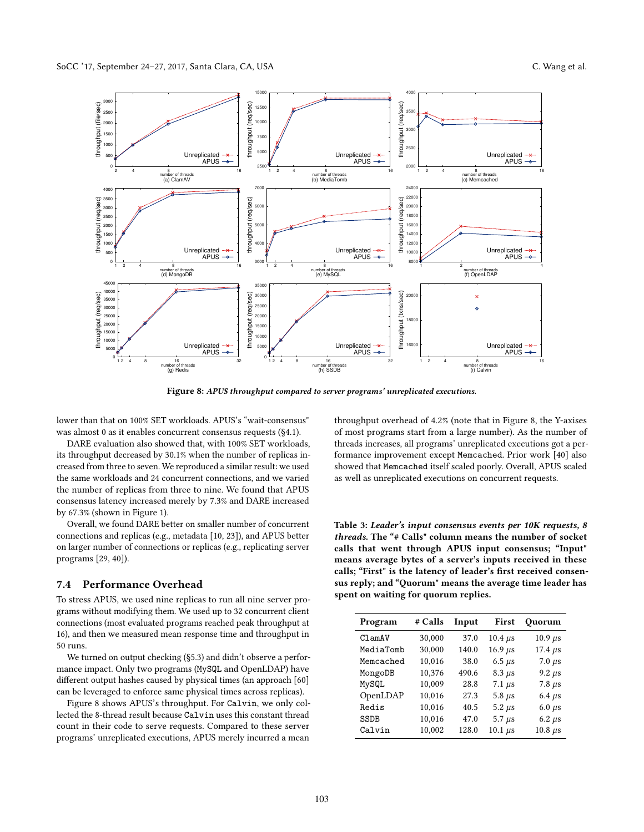<span id="page-9-1"></span>

Figure 8: APUS throughput compared to server programs' unreplicated executions.

lower than that on 100% SET workloads. APUS's "wait-consensus" was almost 0 as it enables concurrent consensus requests ([§4.1\)](#page-3-2).

DARE evaluation also showed that, with 100% SET workloads, its throughput decreased by 30.1% when the number of replicas increased from three to seven. We reproduced a similar result: we used the same workloads and 24 concurrent connections, and we varied the number of replicas from three to nine. We found that APUS consensus latency increased merely by 7.3% and DARE increased by 67.3% (shown in Figure [1\)](#page-1-1).

Overall, we found DARE better on smaller number of concurrent connections and replicas (e.g., metadata [\[10,](#page-12-5) [23\]](#page-12-35)), and APUS better on larger number of connections or replicas (e.g., replicating server programs [\[29,](#page-12-0) [40\]](#page-12-1)).

#### <span id="page-9-0"></span>7.4 Performance Overhead

To stress APUS, we used nine replicas to run all nine server programs without modifying them. We used up to 32 concurrent client connections (most evaluated programs reached peak throughput at 16), and then we measured mean response time and throughput in 50 runs.

We turned on output checking ([§5.3\)](#page-6-6) and didn't observe a performance impact. Only two programs (MySQL and OpenLDAP) have different output hashes caused by physical times (an approach [\[60\]](#page-13-18) can be leveraged to enforce same physical times across replicas).

Figure [8](#page-9-1) shows APUS's throughput. For Calvin, we only collected the 8-thread result because Calvin uses this constant thread count in their code to serve requests. Compared to these server programs' unreplicated executions, APUS merely incurred a mean

throughput overhead of 4.2% (note that in Figure [8,](#page-9-1) the Y-axises of most programs start from a large number). As the number of threads increases, all programs' unreplicated executions got a performance improvement except Memcached. Prior work [\[40\]](#page-12-1) also showed that Memcached itself scaled poorly. Overall, APUS scaled as well as unreplicated executions on concurrent requests.

<span id="page-9-2"></span>Table 3: Leader's input consensus events per 10K requests, 8 threads. The "# Calls" column means the number of socket calls that went through APUS input consensus; "Input" means average bytes of a server's inputs received in these calls; "First" is the latency of leader's first received consensus reply; and "Quorum" means the average time leader has spent on waiting for quorum replies.

| Program   | # Calls | Input | First          | Quorum         |
|-----------|---------|-------|----------------|----------------|
| C1amAV    | 30,000  | 37.0  | $10.4 \ \mu s$ | $10.9 \mu s$   |
| MediaTomb | 30,000  | 140.0 | $16.9 \ \mu s$ | $17.4 \ \mu s$ |
| Memcached | 10,016  | 38.0  | 6.5 $\mu$ s    | $7.0 \ \mu s$  |
| MongoDB   | 10,376  | 490.6 | $8.3 \ \mu s$  | $9.2 \mu s$    |
| MySQL     | 10,009  | 28.8  | $7.1 \ \mu s$  | $7.8 \ \mu s$  |
| OpenLDAP  | 10,016  | 27.3  | 5.8 $\mu$ s    | 6.4 $\mu$ s    |
| Redis     | 10,016  | 40.5  | $5.2 \ \mu s$  | $6.0 \ \mu s$  |
| SSDB      | 10,016  | 47.0  | $5.7 \ \mu s$  | $6.2 \ \mu s$  |
| Calvin    | 10,002  | 128.0 | $10.1 \ \mu s$ | $10.8 \ \mu s$ |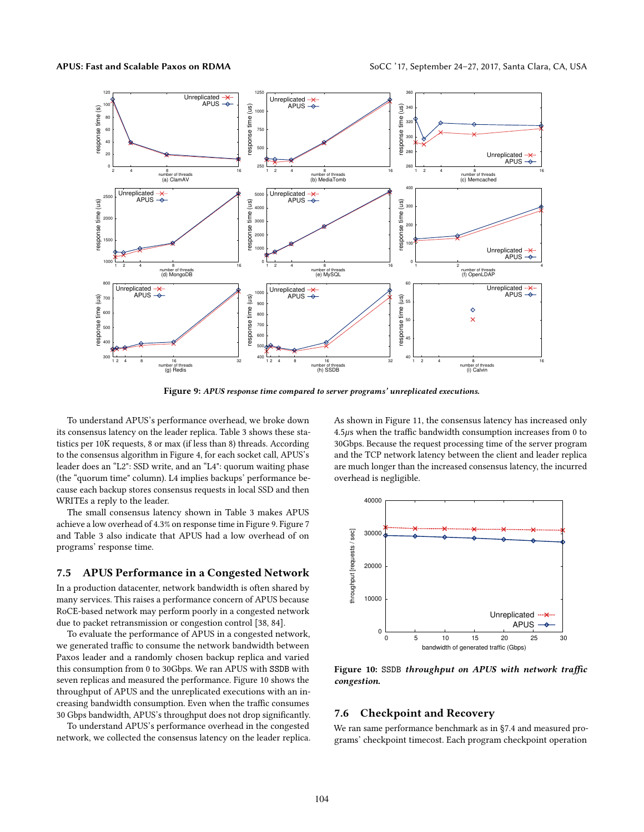<span id="page-10-2"></span>

Figure 9: APUS response time compared to server programs' unreplicated executions.

To understand APUS's performance overhead, we broke down its consensus latency on the leader replica. Table [3](#page-9-2) shows these statistics per 10K requests, 8 or max (if less than 8) threads. According to the consensus algorithm in Figure [4,](#page-4-2) for each socket call, APUS's leader does an "L2": SSD write, and an "L4": quorum waiting phase (the "quorum time" column). L4 implies backups' performance because each backup stores consensus requests in local SSD and then WRITEs a reply to the leader.

The small consensus latency shown in Table [3](#page-9-2) makes APUS achieve a low overhead of 4.3% on response time in Figure [9.](#page-10-2) Figure [7](#page-8-4) and Table [3](#page-9-2) also indicate that APUS had a low overhead of on programs' response time.

#### <span id="page-10-0"></span>7.5 APUS Performance in a Congested Network

In a production datacenter, network bandwidth is often shared by many services. This raises a performance concern of APUS because RoCE-based network may perform poorly in a congested network due to packet retransmission or congestion control [\[38,](#page-12-36) [84\]](#page-13-24).

To evaluate the performance of APUS in a congested network, we generated traffic to consume the network bandwidth between Paxos leader and a randomly chosen backup replica and varied this consumption from 0 to 30Gbps. We ran APUS with SSDB with seven replicas and measured the performance. Figure [10](#page-10-3) shows the throughput of APUS and the unreplicated executions with an increasing bandwidth consumption. Even when the traffic consumes 30 Gbps bandwidth, APUS's throughput does not drop significantly.

To understand APUS's performance overhead in the congested network, we collected the consensus latency on the leader replica. As shown in Figure [11,](#page-11-2) the consensus latency has increased only  $4.5\mu s$  when the traffic bandwidth consumption increases from 0 to 30Gbps. Because the request processing time of the server program and the TCP network latency between the client and leader replica are much longer than the increased consensus latency, the incurred overhead is negligible.

<span id="page-10-3"></span>

Figure 10: SSDB throughput on APUS with network traffic congestion.

#### <span id="page-10-1"></span>7.6 Checkpoint and Recovery

We ran same performance benchmark as in [§7.4](#page-9-0) and measured programs' checkpoint timecost. Each program checkpoint operation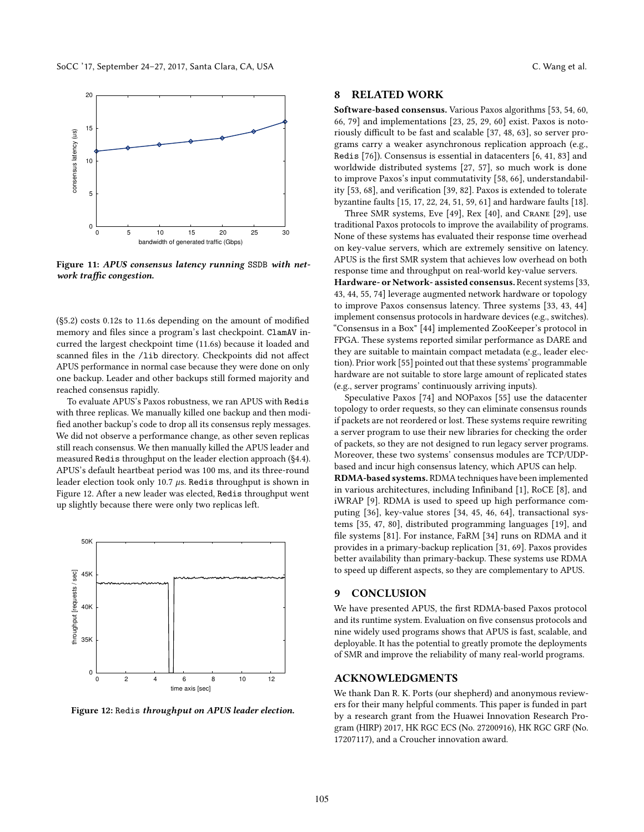<span id="page-11-2"></span>

Figure 11: APUS consensus latency running SSDB with network traffic congestion.

([§5.2\)](#page-6-1) costs 0.12s to 11.6s depending on the amount of modified memory and files since a program's last checkpoint. ClamAV incurred the largest checkpoint time (11.6s) because it loaded and scanned files in the /lib directory. Checkpoints did not affect APUS performance in normal case because they were done on only one backup. Leader and other backups still formed majority and reached consensus rapidly.

To evaluate APUS's Paxos robustness, we ran APUS with Redis with three replicas. We manually killed one backup and then modified another backup's code to drop all its consensus reply messages. We did not observe a performance change, as other seven replicas still reach consensus. We then manually killed the APUS leader and measured Redis throughput on the leader election approach ([§4.4\)](#page-4-3). APUS's default heartbeat period was 100 ms, and its three-round leader election took only 10.7  $\mu$ s. Redis throughput is shown in Figure [12.](#page-11-3) After a new leader was elected, Redis throughput went up slightly because there were only two replicas left.

<span id="page-11-3"></span>



# <span id="page-11-0"></span>8 RELATED WORK

Software-based consensus. Various Paxos algorithms [\[53,](#page-13-1) [54,](#page-13-6) [60,](#page-13-18) [66,](#page-13-3) [79\]](#page-13-22) and implementations [\[23,](#page-12-35) [25,](#page-12-27) [29,](#page-12-0) [60\]](#page-13-18) exist. Paxos is notoriously difficult to be fast and scalable [\[37,](#page-12-4) [48,](#page-12-16) [63\]](#page-13-25), so server programs carry a weaker asynchronous replication approach (e.g., Redis [\[76\]](#page-13-10)). Consensus is essential in datacenters [\[6,](#page-12-37) [41,](#page-12-38) [83\]](#page-13-26) and worldwide distributed systems [\[27,](#page-12-39) [57\]](#page-13-27), so much work is done to improve Paxos's input commutativity [\[58,](#page-13-28) [66\]](#page-13-3), understandability [\[53,](#page-13-1) [68\]](#page-13-21), and verification [\[39,](#page-12-28) [82\]](#page-13-23). Paxos is extended to tolerate byzantine faults [\[15,](#page-12-40) [17,](#page-12-41) [22,](#page-12-42) [24,](#page-12-43) [51,](#page-12-44) [59,](#page-13-29) [61\]](#page-13-30) and hardware faults [\[18\]](#page-12-45).

Three SMR systems, Eve [\[49\]](#page-12-2), Rex [\[40\]](#page-12-1), and Crane [\[29\]](#page-12-0), use traditional Paxos protocols to improve the availability of programs. None of these systems has evaluated their response time overhead on key-value servers, which are extremely sensitive on latency. APUS is the first SMR system that achieves low overhead on both response time and throughput on real-world key-value servers.

Hardware- or Network- assisted consensus. Recent systems [\[33,](#page-12-8) [43,](#page-12-9) [44,](#page-12-10) [55,](#page-13-9) [74\]](#page-13-7) leverage augmented network hardware or topology to improve Paxos consensus latency. Three systems [\[33,](#page-12-8) [43,](#page-12-9) [44\]](#page-12-10) implement consensus protocols in hardware devices (e.g., switches). "Consensus in a Box" [\[44\]](#page-12-10) implemented ZooKeeper's protocol in FPGA. These systems reported similar performance as DARE and they are suitable to maintain compact metadata (e.g., leader election). Prior work [\[55\]](#page-13-9) pointed out that these systems' programmable hardware are not suitable to store large amount of replicated states (e.g., server programs' continuously arriving inputs).

Speculative Paxos [\[74\]](#page-13-7) and NOPaxos [\[55\]](#page-13-9) use the datacenter topology to order requests, so they can eliminate consensus rounds if packets are not reordered or lost. These systems require rewriting a server program to use their new libraries for checking the order of packets, so they are not designed to run legacy server programs. Moreover, these two systems' consensus modules are TCP/UDPbased and incur high consensus latency, which APUS can help.

RDMA-based systems. RDMA techniques have been implemented in various architectures, including Infiniband [\[1\]](#page-12-17), RoCE [\[8\]](#page-12-18), and iWRAP [\[9\]](#page-12-46). RDMA is used to speed up high performance computing [\[36\]](#page-12-47), key-value stores [\[34,](#page-12-26) [45,](#page-12-48) [46,](#page-12-19) [64\]](#page-13-17), transactional systems [\[35,](#page-12-49) [47,](#page-12-21) [80\]](#page-13-20), distributed programming languages [\[19\]](#page-12-50), and file systems [\[81\]](#page-13-31). For instance, FaRM [\[34\]](#page-12-26) runs on RDMA and it provides in a primary-backup replication [\[31,](#page-12-51) [69\]](#page-13-32). Paxos provides better availability than primary-backup. These systems use RDMA to speed up different aspects, so they are complementary to APUS.

# <span id="page-11-1"></span>9 CONCLUSION

We have presented APUS, the first RDMA-based Paxos protocol and its runtime system. Evaluation on five consensus protocols and nine widely used programs shows that APUS is fast, scalable, and deployable. It has the potential to greatly promote the deployments of SMR and improve the reliability of many real-world programs.

### ACKNOWLEDGMENTS

We thank Dan R. K. Ports (our shepherd) and anonymous reviewers for their many helpful comments. This paper is funded in part by a research grant from the Huawei Innovation Research Program (HIRP) 2017, HK RGC ECS (No. 27200916), HK RGC GRF (No. 17207117), and a Croucher innovation award.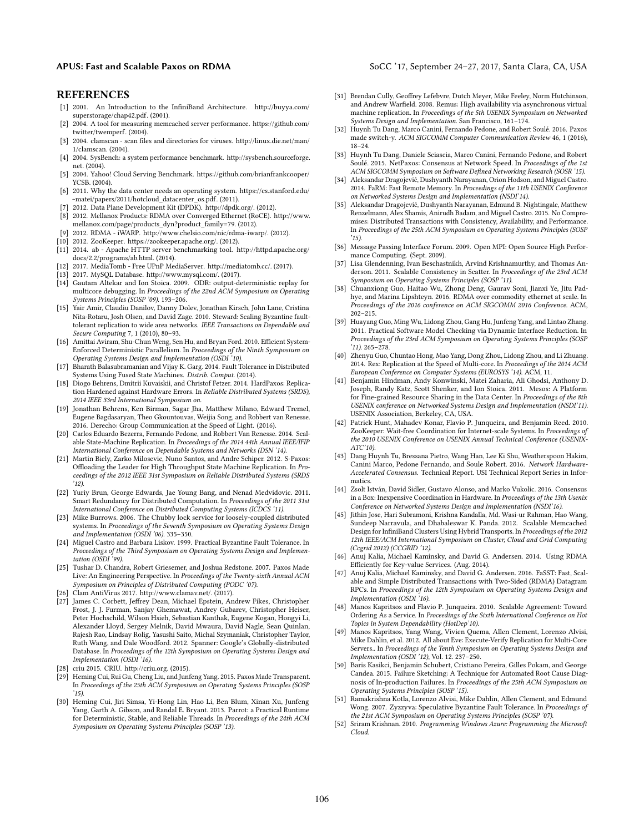#### APUS: Fast and Scalable Paxos on RDMA Socc '17, September 24-27, 2017, Santa Clara, CA, USA

#### REFERENCES

- <span id="page-12-17"></span>[1] 2001. An Introduction to the InfiniBand Architecture. [http://buyya.com/](http://buyya.com/superstorage/chap42.pdf) [superstorage/chap42.pdf.](http://buyya.com/superstorage/chap42.pdf) (2001).
- <span id="page-12-32"></span>[2] 2004. A tool for measuring memcached server performance. [https://github.com/](https://github.com/twitter/twemperf) [twitter/twemperf.](https://github.com/twitter/twemperf) (2004).
- <span id="page-12-30"></span>[3] 2004. clamscan - scan files and directories for viruses. [http://linux.die.net/man/](http://linux.die.net/man/1/clamscan) [1/clamscan.](http://linux.die.net/man/1/clamscan) (2004).
- <span id="page-12-34"></span>[4] 2004. SysBench: a system performance benchmark. [http://sysbench.sourceforge.](http://sysbench.sourceforge.net) [net.](http://sysbench.sourceforge.net) (2004).
- <span id="page-12-33"></span>[5] 2004. Yahoo! Cloud Serving Benchmark. [https://github.com/brianfrankcooper/](https://github.com/brianfrankcooper/YCSB) [YCSB.](https://github.com/brianfrankcooper/YCSB) (2004).
- <span id="page-12-37"></span>[6] 2011. Why the data center needs an operating system. [https://cs.stanford.edu/](https://cs.stanford.edu/~matei/papers/2011/hotcloud_datacenter_os.pdf) [~matei/papers/2011/hotcloud\\_datacenter\\_os.pdf.](https://cs.stanford.edu/~matei/papers/2011/hotcloud_datacenter_os.pdf) (2011).
- <span id="page-12-20"></span>[7] 2012. Data Plane Development Kit (DPDK). [http://dpdk.org/.](http://dpdk.org/) (2012).
- <span id="page-12-18"></span>[8] 2012. Mellanox Products: RDMA over Converged Ethernet (RoCE). [http://www.](http://www.mellanox.com/page/products_dyn?product_family=79) [mellanox.com/page/products\\_dyn?product\\_family=79.](http://www.mellanox.com/page/products_dyn?product_family=79) (2012).
- <span id="page-12-46"></span>[9] 2012. RDMA - iWARP. [http://www.chelsio.com/nic/rdma-iwarp/.](http://www.chelsio.com/nic/rdma-iwarp/) (2012).
- <span id="page-12-5"></span>[10] 2012. ZooKeeper. [https://zookeeper.apache.org/.](https://zookeeper.apache.org/) (2012).
- <span id="page-12-31"></span>[11] 2014. ab - Apache HTTP server benchmarking tool. [http://httpd.apache.org/](http://httpd.apache.org/docs/2.2/programs/ab.html) [docs/2.2/programs/ab.html.](http://httpd.apache.org/docs/2.2/programs/ab.html) (2014).
- <span id="page-12-12"></span>[12] 2017. MediaTomb - Free UPnP MediaServer. [http://mediatomb.cc/.](http://mediatomb.cc/) (2017).
- <span id="page-12-24"></span>
- <span id="page-12-13"></span>[13] 2017. MySQL Database. [http://www.mysql.com/.](http://www.mysql.com/) (2017). [14] Gautam Altekar and Ion Stoica. 2009. ODR: output-deterministic replay for multicore debugging. In Proceedings of the 22nd ACM Symposium on Operating Systems Principles (SOSP '09). 193–206.
- <span id="page-12-40"></span>[15] Yair Amir, Claudiu Danilov, Danny Dolev, Jonathan Kirsch, John Lane, Cristina Nita-Rotaru, Josh Olsen, and David Zage. 2010. Steward: Scaling Byzantine faulttolerant replication to wide area networks. IEEE Transactions on Dependable and Secure Computing 7, 1 (2010), 80–93.
- <span id="page-12-22"></span>[16] Amittai Aviram, Shu-Chun Weng, Sen Hu, and Bryan Ford. 2010. Efficient System-Enforced Deterministic Parallelism. In Proceedings of the Ninth Symposium on Operating Systems Design and Implementation (OSDI '10).
- <span id="page-12-41"></span>[17] Bharath Balasubramanian and Vijay K. Garg. 2014. Fault Tolerance in Distributed Systems Using Fused State Machines. Distrib. Comput. (2014).
- <span id="page-12-45"></span>[18] Diogo Behrens, Dmitrii Kuvaiskii, and Christof Fetzer. 2014. HardPaxos: Replication Hardened against Hardware Errors. In Reliable Distributed Systems (SRDS), 2014 IEEE 33rd International Symposium on.
- <span id="page-12-50"></span>[19] Jonathan Behrens, Ken Birman, Sagar Jha, Matthew Milano, Edward Tremel, Eugene Bagdasaryan, Theo Gkountouvas, Weijia Song, and Robbert van Renesse. 2016. Derecho: Group Communication at the Speed of Light. (2016).
- <span id="page-12-15"></span>[20] Carlos Eduardo Bezerra, Fernando Pedone, and Robbert Van Renesse. 2014. Scalable State-Machine Replication. In Proceedings of the 2014 44th Annual IEEE/IFIP International Conference on Dependable Systems and Networks (DSN '14).
- <span id="page-12-6"></span>[21] Martin Biely, Zarko Milosevic, Nuno Santos, and Andre Schiper. 2012. S-Paxos: Offloading the Leader for High Throughput State Machine Replication. In Proceedings of the 2012 IEEE 31st Symposium on Reliable Distributed Systems (SRDS  $'12)$
- <span id="page-12-42"></span>[22] Yuriy Brun, George Edwards, Jae Young Bang, and Nenad Medvidovic. 2011. Smart Redundancy for Distributed Computation. In Proceedings of the 2011 31st International Conference on Distributed Computing Systems (ICDCS '11).
- <span id="page-12-35"></span>[23] Mike Burrows. 2006. The Chubby lock service for loosely-coupled distributed systems. In Proceedings of the Seventh Symposium on Operating Systems Design and Implementation (OSDI '06). 335–350.
- <span id="page-12-43"></span>[24] Miguel Castro and Barbara Liskov. 1999. Practical Byzantine Fault Tolerance. In Proceedings of the Third Symposium on Operating Systems Design and Implementation (OSDI '99).
- <span id="page-12-27"></span>[25] Tushar D. Chandra, Robert Griesemer, and Joshua Redstone. 2007. Paxos Made Live: An Engineering Perspective. In Proceedings of the Twenty-sixth Annual ACM Symposium on Principles of Distributed Computing (PODC '07).
- <span id="page-12-14"></span>[26] Clam AntiVirus 2017. [http://www.clamav.net/.](http://www.clamav.net/) (2017).
- <span id="page-12-39"></span>[27] James C. Corbett, Jeffrey Dean, Michael Epstein, Andrew Fikes, Christopher Frost, J. J. Furman, Sanjay Ghemawat, Andrey Gubarev, Christopher Heiser, Peter Hochschild, Wilson Hsieh, Sebastian Kanthak, Eugene Kogan, Hongyi Li, Alexander Lloyd, Sergey Melnik, David Mwaura, David Nagle, Sean Quinlan, Rajesh Rao, Lindsay Rolig, Yasushi Saito, Michal Szymaniak, Christopher Taylor, Ruth Wang, and Dale Woodford. 2012. Spanner: Google's Globally-distributed Database. In Proceedings of the 12th Symposium on Operating Systems Design and Implementation (OSDI '16).
- <span id="page-12-29"></span>[28] criu 2015. CRIU. [http://criu.org.](http://criu.org) (2015).
- <span id="page-12-0"></span>[29] Heming Cui, Rui Gu, Cheng Liu, and Junfeng Yang. 2015. Paxos Made Transparent. In Proceedings of the 25th ACM Symposium on Operating Systems Principles (SOSP '15).
- <span id="page-12-23"></span>[30] Heming Cui, Jiri Simsa, Yi-Hong Lin, Hao Li, Ben Blum, Xinan Xu, Junfeng Yang, Garth A. Gibson, and Randal E. Bryant. 2013. Parrot: a Practical Runtime for Deterministic, Stable, and Reliable Threads. In Proceedings of the 24th ACM Symposium on Operating Systems Principles (SOSP '13).
- <span id="page-12-51"></span>[31] Brendan Cully, Geoffrey Lefebvre, Dutch Meyer, Mike Feeley, Norm Hutchinson, and Andrew Warfield. 2008. Remus: High availability via asynchronous virtual machine replication. In Proceedings of the 5th USENIX Symposium on Networked Systems Design and Implementation. San Francisco, 161–174.
- <span id="page-12-11"></span>[32] Huynh Tu Dang, Marco Canini, Fernando Pedone, and Robert Soulé. 2016. Paxos made switch-y. ACM SIGCOMM Computer Communication Review 46, 1 (2016), 18–24.
- <span id="page-12-8"></span>[33] Huynh Tu Dang, Daniele Sciascia, Marco Canini, Fernando Pedone, and Robert Soulé. 2015. NetPaxos: Consensus at Network Speed. In Proceedings of the 1st ACM SIGCOMM Symposium on Software Defined Networking Research (SOSR '15).
- <span id="page-12-26"></span>[34] Aleksandar Dragojević, Dushyanth Narayanan, Orion Hodson, and Miguel Castro. 2014. FaRM: Fast Remote Memory. In Proceedings of the 11th USENIX Conference on Networked Systems Design and Implementation (NSDI'14).
- <span id="page-12-49"></span>[35] Aleksandar Dragojević, Dushyanth Narayanan, Edmund B. Nightingale, Matthew Renzelmann, Alex Shamis, Anirudh Badam, and Miguel Castro. 2015. No Compromises: Distributed Transactions with Consistency, Availability, and Performance. In Proceedings of the 25th ACM Symposium on Operating Systems Principles (SOSP '15).
- <span id="page-12-47"></span>[36] Message Passing Interface Forum. 2009. Open MPI: Open Source High Performance Computing. (Sept. 2009).
- <span id="page-12-4"></span>[37] Lisa Glendenning, Ivan Beschastnikh, Arvind Krishnamurthy, and Thomas Anderson. 2011. Scalable Consistency in Scatter. In Proceedings of the 23rd ACM Symposium on Operating Systems Principles (SOSP '11).
- <span id="page-12-36"></span>[38] Chuanxiong Guo, Haitao Wu, Zhong Deng, Gaurav Soni, Jianxi Ye, Jitu Padhye, and Marina Lipshteyn. 2016. RDMA over commodity ethernet at scale. In Proceedings of the 2016 conference on ACM SIGCOMM 2016 Conference. ACM, 202–215.
- <span id="page-12-28"></span>[39] Huayang Guo, Ming Wu, Lidong Zhou, Gang Hu, Junfeng Yang, and Lintao Zhang. 2011. Practical Software Model Checking via Dynamic Interface Reduction. In Proceedings of the 23rd ACM Symposium on Operating Systems Principles (SOSP '11). 265–278.
- <span id="page-12-1"></span>[40] Zhenyu Guo, Chuntao Hong, Mao Yang, Dong Zhou, Lidong Zhou, and Li Zhuang. 2014. Rex: Replication at the Speed of Multi-core. In Proceedings of the 2014 ACM European Conference on Computer Systems (EUROSYS '14). ACM, 11.
- <span id="page-12-38"></span>[41] Benjamin Hindman, Andy Konwinski, Matei Zaharia, Ali Ghodsi, Anthony D. Joseph, Randy Katz, Scott Shenker, and Ion Stoica. 2011. Mesos: A Platform for Fine-grained Resource Sharing in the Data Center. In *Proceedings of the 8th* USENIX conference on Networked Systems Design and Implementation (NSDI'11). USENIX Association, Berkeley, CA, USA.
- <span id="page-12-3"></span>[42] Patrick Hunt, Mahadev Konar, Flavio P. Junqueira, and Benjamin Reed. 2010. ZooKeeper: Wait-free Coordination for Internet-scale Systems. In Proceedings of the 2010 USENIX Conference on USENIX Annual Technical Conference (USENIX-ATC'10).
- <span id="page-12-9"></span>[43] Dang Huynh Tu, Bressana Pietro, Wang Han, Lee Ki Shu, Weatherspoon Hakim, Canini Marco, Pedone Fernando, and Soule Robert. 2016. Network Hardware-Accelerated Consensus. Technical Report. USI Technical Report Series in Informatics.
- <span id="page-12-10"></span>[44] Zsolt István, David Sidler, Gustavo Alonso, and Marko Vukolic. 2016. Consensus in a Box: Inexpensive Coordination in Hardware. In Proceedings of the 13th Usenix Conference on Networked Systems Design and Implementation (NSDI'16).
- <span id="page-12-48"></span>[45] Jithin Jose, Hari Subramoni, Krishna Kandalla, Md. Wasi-ur Rahman, Hao Wang, Sundeep Narravula, and Dhabaleswar K. Panda. 2012. Scalable Memcached Design for InfiniBand Clusters Using Hybrid Transports. In Proceedings of the 2012 12th IEEE/ACM International Symposium on Cluster, Cloud and Grid Computing (Ccgrid 2012) (CCGRID '12).
- <span id="page-12-19"></span>[46] Anuj Kalia, Michael Kaminsky, and David G. Andersen. 2014. Using RDMA Efficiently for Key-value Services. (Aug. 2014).
- <span id="page-12-21"></span>[47] Anuj Kalia, Michael Kaminsky, and David G. Andersen. 2016. FaSST: Fast, Scalable and Simple Distributed Transactions with Two-Sided (RDMA) Datagram RPCs. In Proceedings of the 12th Symposium on Operating Systems Design and Implementation (OSDI '16).
- <span id="page-12-16"></span>[48] Manos Kapritsos and Flavio P. Junqueira. 2010. Scalable Agreement: Toward Ordering As a Service. In Proceedings of the Sixth International Conference on Hot Topics in System Dependability (HotDep'10).
- <span id="page-12-2"></span>[49] Manos Kapritsos, Yang Wang, Vivien Quema, Allen Clement, Lorenzo Alvisi, Mike Dahlin, et al. 2012. All about Eve: Execute-Verify Replication for Multi-Core Servers.. In Proceedings of the Tenth Symposium on Operating Systems Design and Implementation (OSDI '12), Vol. 12. 237–250.
- <span id="page-12-25"></span>[50] Baris Kasikci, Benjamin Schubert, Cristiano Pereira, Gilles Pokam, and George Candea. 2015. Failure Sketching: A Technique for Automated Root Cause Diagnosis of In-production Failures. In Proceedings of the 25th ACM Symposium on Operating Systems Principles (SOSP '15).
- <span id="page-12-44"></span>[51] Ramakrishna Kotla, Lorenzo Alvisi, Mike Dahlin, Allen Clement, and Edmund Wong. 2007. Zyzzyva: Speculative Byzantine Fault Tolerance. In Proceedings of the 21st ACM Symposium on Operating Systems Principles (SOSP '07).
- <span id="page-12-7"></span>[52] Sriram Krishnan. 2010. Programming Windows Azure: Programming the Microsoft Cloud.